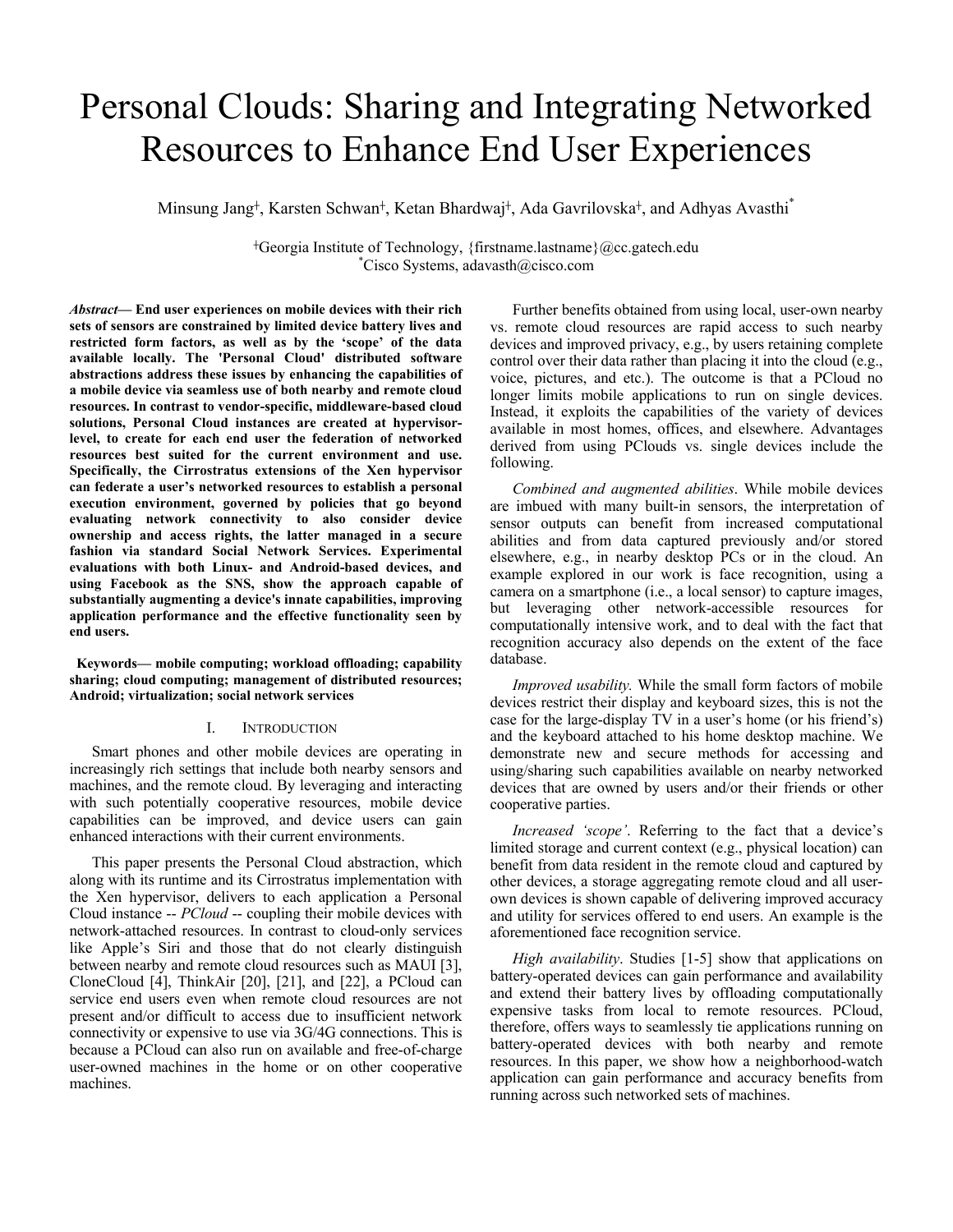# Personal Clouds: Sharing and Integrating Networked Resources to Enhance End User Experiences

Minsung Jang<sup>⊥</sup>, Karsten Schwan<sup>⊥</sup>, Ketan Bhardwaj<sup>⊥</sup>, Ada Gavrilovska<sup>⊥</sup>, and Adhyas Avasthi<sup>\*</sup>

┼Georgia Institute of Technology, {firstname.lastname}@cc.gatech.edu \* Cisco Systems, adavasth@cisco.com

*Abstract***— End user experiences on mobile devices with their rich sets of sensors are constrained by limited device battery lives and restricted form factors, as well as by the 'scope' of the data available locally. The 'Personal Cloud' distributed software abstractions address these issues by enhancing the capabilities of a mobile device via seamless use of both nearby and remote cloud resources. In contrast to vendor-specific, middleware-based cloud solutions, Personal Cloud instances are created at hypervisorlevel, to create for each end user the federation of networked resources best suited for the current environment and use. Specifically, the Cirrostratus extensions of the Xen hypervisor can federate a user's networked resources to establish a personal execution environment, governed by policies that go beyond evaluating network connectivity to also consider device ownership and access rights, the latter managed in a secure fashion via standard Social Network Services. Experimental evaluations with both Linux- and Android-based devices, and using Facebook as the SNS, show the approach capable of substantially augmenting a device's innate capabilities, improving application performance and the effective functionality seen by end users.** 

 **Keywords— mobile computing; workload offloading; capability sharing; cloud computing; management of distributed resources; Android; virtualization; social network services** 

## I. INTRODUCTION

Smart phones and other mobile devices are operating in increasingly rich settings that include both nearby sensors and machines, and the remote cloud. By leveraging and interacting with such potentially cooperative resources, mobile device capabilities can be improved, and device users can gain enhanced interactions with their current environments.

This paper presents the Personal Cloud abstraction, which along with its runtime and its Cirrostratus implementation with the Xen hypervisor, delivers to each application a Personal Cloud instance -- *PCloud* -- coupling their mobile devices with network-attached resources. In contrast to cloud-only services like Apple's Siri and those that do not clearly distinguish between nearby and remote cloud resources such as MAUI [3], CloneCloud [4], ThinkAir [20], [21], and [22], a PCloud can service end users even when remote cloud resources are not present and/or difficult to access due to insufficient network connectivity or expensive to use via 3G/4G connections. This is because a PCloud can also run on available and free-of-charge user-owned machines in the home or on other cooperative machines.

Further benefits obtained from using local, user-own nearby vs. remote cloud resources are rapid access to such nearby devices and improved privacy, e.g., by users retaining complete control over their data rather than placing it into the cloud (e.g., voice, pictures, and etc.). The outcome is that a PCloud no longer limits mobile applications to run on single devices. Instead, it exploits the capabilities of the variety of devices available in most homes, offices, and elsewhere. Advantages derived from using PClouds vs. single devices include the following.

*Combined and augmented abilities*. While mobile devices are imbued with many built-in sensors, the interpretation of sensor outputs can benefit from increased computational abilities and from data captured previously and/or stored elsewhere, e.g., in nearby desktop PCs or in the cloud. An example explored in our work is face recognition, using a camera on a smartphone (i.e., a local sensor) to capture images, but leveraging other network-accessible resources for computationally intensive work, and to deal with the fact that recognition accuracy also depends on the extent of the face database.

*Improved usability.* While the small form factors of mobile devices restrict their display and keyboard sizes, this is not the case for the large-display TV in a user's home (or his friend's) and the keyboard attached to his home desktop machine. We demonstrate new and secure methods for accessing and using/sharing such capabilities available on nearby networked devices that are owned by users and/or their friends or other cooperative parties.

*Increased 'scope'*. Referring to the fact that a device's limited storage and current context (e.g., physical location) can benefit from data resident in the remote cloud and captured by other devices, a storage aggregating remote cloud and all userown devices is shown capable of delivering improved accuracy and utility for services offered to end users. An example is the aforementioned face recognition service.

*High availability*. Studies [1-5] show that applications on battery-operated devices can gain performance and availability and extend their battery lives by offloading computationally expensive tasks from local to remote resources. PCloud, therefore, offers ways to seamlessly tie applications running on battery-operated devices with both nearby and remote resources. In this paper, we show how a neighborhood-watch application can gain performance and accuracy benefits from running across such networked sets of machines.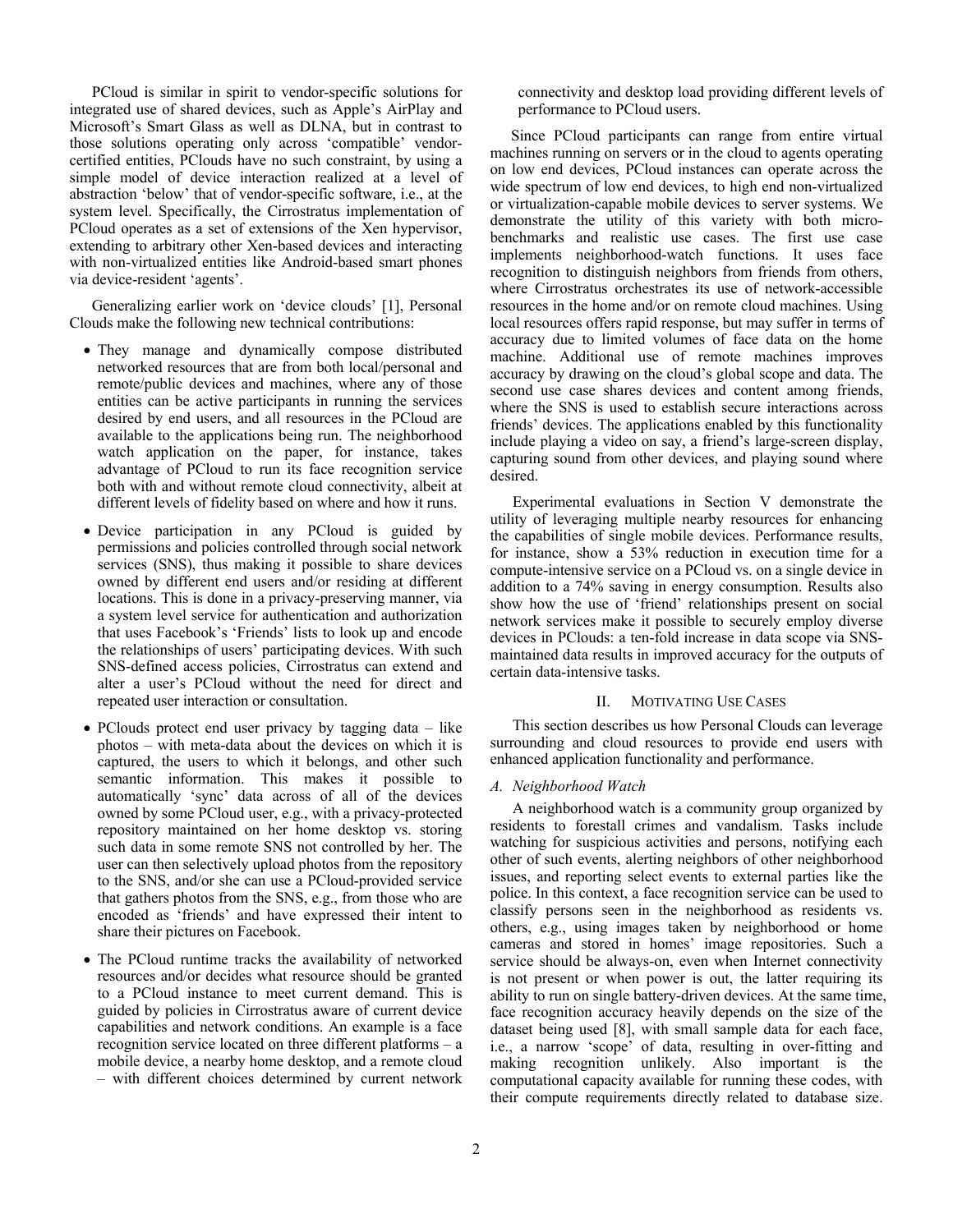PCloud is similar in spirit to vendor-specific solutions for integrated use of shared devices, such as Apple's AirPlay and Microsoft's Smart Glass as well as DLNA, but in contrast to those solutions operating only across 'compatible' vendorcertified entities, PClouds have no such constraint, by using a simple model of device interaction realized at a level of abstraction 'below' that of vendor-specific software, i.e., at the system level. Specifically, the Cirrostratus implementation of PCloud operates as a set of extensions of the Xen hypervisor, extending to arbitrary other Xen-based devices and interacting with non-virtualized entities like Android-based smart phones via device-resident 'agents'.

Generalizing earlier work on 'device clouds' [1], Personal Clouds make the following new technical contributions:

- They manage and dynamically compose distributed networked resources that are from both local/personal and remote/public devices and machines, where any of those entities can be active participants in running the services desired by end users, and all resources in the PCloud are available to the applications being run. The neighborhood watch application on the paper, for instance, takes advantage of PCloud to run its face recognition service both with and without remote cloud connectivity, albeit at different levels of fidelity based on where and how it runs.
- Device participation in any PCloud is guided by permissions and policies controlled through social network services (SNS), thus making it possible to share devices owned by different end users and/or residing at different locations. This is done in a privacy-preserving manner, via a system level service for authentication and authorization that uses Facebook's 'Friends' lists to look up and encode the relationships of users' participating devices. With such SNS-defined access policies, Cirrostratus can extend and alter a user's PCloud without the need for direct and repeated user interaction or consultation.
- PClouds protect end user privacy by tagging data like photos – with meta-data about the devices on which it is captured, the users to which it belongs, and other such semantic information. This makes it possible to automatically 'sync' data across of all of the devices owned by some PCloud user, e.g., with a privacy-protected repository maintained on her home desktop vs. storing such data in some remote SNS not controlled by her. The user can then selectively upload photos from the repository to the SNS, and/or she can use a PCloud-provided service that gathers photos from the SNS, e.g., from those who are encoded as 'friends' and have expressed their intent to share their pictures on Facebook.
- The PCloud runtime tracks the availability of networked resources and/or decides what resource should be granted to a PCloud instance to meet current demand. This is guided by policies in Cirrostratus aware of current device capabilities and network conditions. An example is a face recognition service located on three different platforms – a mobile device, a nearby home desktop, and a remote cloud – with different choices determined by current network

connectivity and desktop load providing different levels of performance to PCloud users.

Since PCloud participants can range from entire virtual machines running on servers or in the cloud to agents operating on low end devices, PCloud instances can operate across the wide spectrum of low end devices, to high end non-virtualized or virtualization-capable mobile devices to server systems. We demonstrate the utility of this variety with both microbenchmarks and realistic use cases. The first use case implements neighborhood-watch functions. It uses face recognition to distinguish neighbors from friends from others, where Cirrostratus orchestrates its use of network-accessible resources in the home and/or on remote cloud machines. Using local resources offers rapid response, but may suffer in terms of accuracy due to limited volumes of face data on the home machine. Additional use of remote machines improves accuracy by drawing on the cloud's global scope and data. The second use case shares devices and content among friends, where the SNS is used to establish secure interactions across friends' devices. The applications enabled by this functionality include playing a video on say, a friend's large-screen display, capturing sound from other devices, and playing sound where desired.

Experimental evaluations in Section V demonstrate the utility of leveraging multiple nearby resources for enhancing the capabilities of single mobile devices. Performance results, for instance, show a 53% reduction in execution time for a compute-intensive service on a PCloud vs. on a single device in addition to a 74% saving in energy consumption. Results also show how the use of 'friend' relationships present on social network services make it possible to securely employ diverse devices in PClouds: a ten-fold increase in data scope via SNSmaintained data results in improved accuracy for the outputs of certain data-intensive tasks.

## II. MOTIVATING USE CASES

This section describes us how Personal Clouds can leverage surrounding and cloud resources to provide end users with enhanced application functionality and performance.

## *A. Neighborhood Watch*

A neighborhood watch is a community group organized by residents to forestall crimes and vandalism. Tasks include watching for suspicious activities and persons, notifying each other of such events, alerting neighbors of other neighborhood issues, and reporting select events to external parties like the police. In this context, a face recognition service can be used to classify persons seen in the neighborhood as residents vs. others, e.g., using images taken by neighborhood or home cameras and stored in homes' image repositories. Such a service should be always-on, even when Internet connectivity is not present or when power is out, the latter requiring its ability to run on single battery-driven devices. At the same time, face recognition accuracy heavily depends on the size of the dataset being used [8], with small sample data for each face, i.e., a narrow 'scope' of data, resulting in over-fitting and making recognition unlikely. Also important is the computational capacity available for running these codes, with their compute requirements directly related to database size.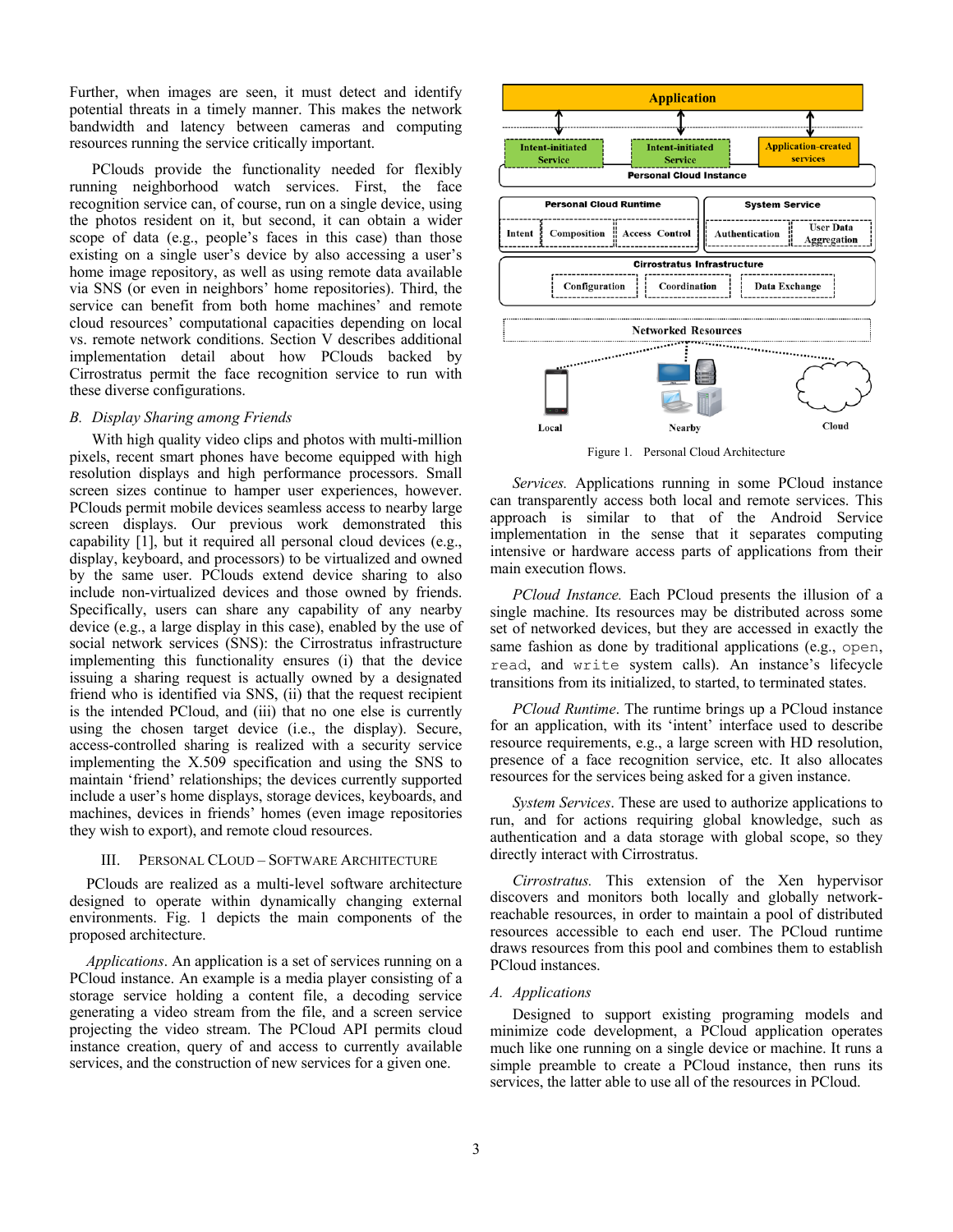Further, when images are seen, it must detect and identify potential threats in a timely manner. This makes the network bandwidth and latency between cameras and computing resources running the service critically important.

PClouds provide the functionality needed for flexibly running neighborhood watch services. First, the face recognition service can, of course, run on a single device, using the photos resident on it, but second, it can obtain a wider scope of data (e.g., people's faces in this case) than those existing on a single user's device by also accessing a user's home image repository, as well as using remote data available via SNS (or even in neighbors' home repositories). Third, the service can benefit from both home machines' and remote cloud resources' computational capacities depending on local vs. remote network conditions. Section V describes additional implementation detail about how PClouds backed by Cirrostratus permit the face recognition service to run with these diverse configurations.

## *B. Display Sharing among Friends*

With high quality video clips and photos with multi-million pixels, recent smart phones have become equipped with high resolution displays and high performance processors. Small screen sizes continue to hamper user experiences, however. PClouds permit mobile devices seamless access to nearby large screen displays. Our previous work demonstrated this capability [1], but it required all personal cloud devices (e.g., display, keyboard, and processors) to be virtualized and owned by the same user. PClouds extend device sharing to also include non-virtualized devices and those owned by friends. Specifically, users can share any capability of any nearby device (e.g., a large display in this case), enabled by the use of social network services (SNS): the Cirrostratus infrastructure implementing this functionality ensures (i) that the device issuing a sharing request is actually owned by a designated friend who is identified via SNS, (ii) that the request recipient is the intended PCloud, and (iii) that no one else is currently using the chosen target device (i.e., the display). Secure, access-controlled sharing is realized with a security service implementing the X.509 specification and using the SNS to maintain 'friend' relationships; the devices currently supported include a user's home displays, storage devices, keyboards, and machines, devices in friends' homes (even image repositories they wish to export), and remote cloud resources.

#### III. PERSONAL CLOUD – SOFTWARE ARCHITECTURE

PClouds are realized as a multi-level software architecture designed to operate within dynamically changing external environments. Fig. 1 depicts the main components of the proposed architecture.

*Applications*. An application is a set of services running on a PCloud instance. An example is a media player consisting of a storage service holding a content file, a decoding service generating a video stream from the file, and a screen service projecting the video stream. The PCloud API permits cloud instance creation, query of and access to currently available services, and the construction of new services for a given one.



Figure 1. Personal Cloud Architecture

*Services.* Applications running in some PCloud instance can transparently access both local and remote services. This approach is similar to that of the Android Service implementation in the sense that it separates computing intensive or hardware access parts of applications from their main execution flows.

*PCloud Instance.* Each PCloud presents the illusion of a single machine. Its resources may be distributed across some set of networked devices, but they are accessed in exactly the same fashion as done by traditional applications (e.g., open, read, and write system calls). An instance's lifecycle transitions from its initialized, to started, to terminated states.

*PCloud Runtime*. The runtime brings up a PCloud instance for an application, with its 'intent' interface used to describe resource requirements, e.g., a large screen with HD resolution, presence of a face recognition service, etc. It also allocates resources for the services being asked for a given instance.

*System Services*. These are used to authorize applications to run, and for actions requiring global knowledge, such as authentication and a data storage with global scope, so they directly interact with Cirrostratus.

*Cirrostratus.* This extension of the Xen hypervisor discovers and monitors both locally and globally networkreachable resources, in order to maintain a pool of distributed resources accessible to each end user. The PCloud runtime draws resources from this pool and combines them to establish PCloud instances.

# *A. Applications*

Designed to support existing programing models and minimize code development, a PCloud application operates much like one running on a single device or machine. It runs a simple preamble to create a PCloud instance, then runs its services, the latter able to use all of the resources in PCloud.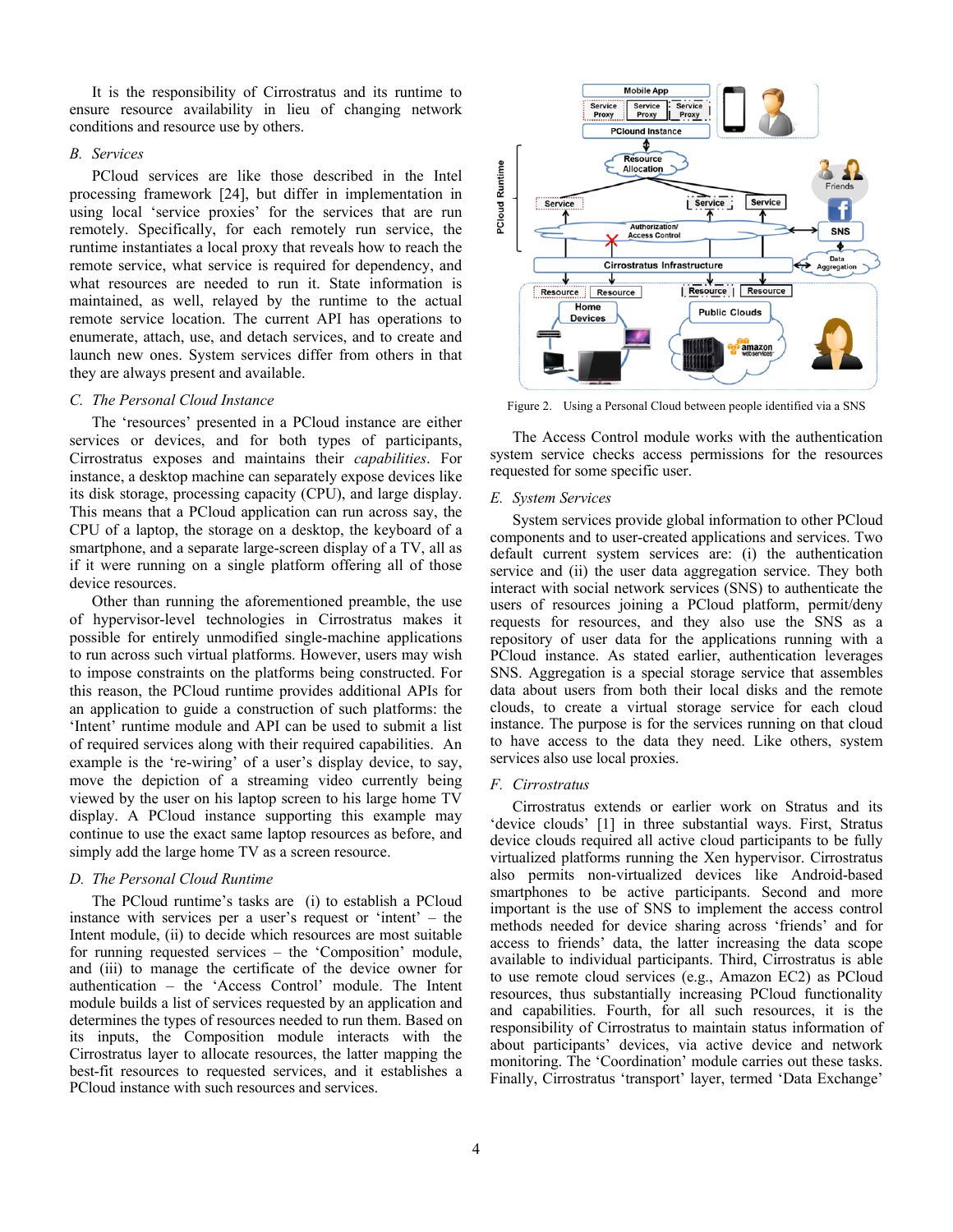It is the responsibility of Cirrostratus and its runtime to ensure resource availability in lieu of changing network conditions and resource use by others.

## *B. Services*

PCloud services are like those described in the Intel processing framework [24], but differ in implementation in using local 'service proxies' for the services that are run remotely. Specifically, for each remotely run service, the runtime instantiates a local proxy that reveals how to reach the remote service, what service is required for dependency, and what resources are needed to run it. State information is maintained, as well, relayed by the runtime to the actual remote service location. The current API has operations to enumerate, attach, use, and detach services, and to create and launch new ones. System services differ from others in that they are always present and available.

## *C. The Personal Cloud Instance*

The 'resources' presented in a PCloud instance are either services or devices, and for both types of participants, Cirrostratus exposes and maintains their *capabilities*. For instance, a desktop machine can separately expose devices like its disk storage, processing capacity (CPU), and large display. This means that a PCloud application can run across say, the CPU of a laptop, the storage on a desktop, the keyboard of a smartphone, and a separate large-screen display of a TV, all as if it were running on a single platform offering all of those device resources.

Other than running the aforementioned preamble, the use of hypervisor-level technologies in Cirrostratus makes it possible for entirely unmodified single-machine applications to run across such virtual platforms. However, users may wish to impose constraints on the platforms being constructed. For this reason, the PCloud runtime provides additional APIs for an application to guide a construction of such platforms: the 'Intent' runtime module and API can be used to submit a list of required services along with their required capabilities. An example is the 're-wiring' of a user's display device, to say, move the depiction of a streaming video currently being viewed by the user on his laptop screen to his large home TV display. A PCloud instance supporting this example may continue to use the exact same laptop resources as before, and simply add the large home TV as a screen resource.

# *D. The Personal Cloud Runtime*

The PCloud runtime's tasks are (i) to establish a PCloud instance with services per a user's request or 'intent' – the Intent module, (ii) to decide which resources are most suitable for running requested services – the 'Composition' module, and (iii) to manage the certificate of the device owner for authentication – the 'Access Control' module. The Intent module builds a list of services requested by an application and determines the types of resources needed to run them. Based on its inputs, the Composition module interacts with the Cirrostratus layer to allocate resources, the latter mapping the best-fit resources to requested services, and it establishes a PCloud instance with such resources and services.



Figure 2. Using a Personal Cloud between people identified via a SNS

The Access Control module works with the authentication system service checks access permissions for the resources requested for some specific user.

## *E. System Services*

System services provide global information to other PCloud components and to user-created applications and services. Two default current system services are: (i) the authentication service and (ii) the user data aggregation service. They both interact with social network services (SNS) to authenticate the users of resources joining a PCloud platform, permit/deny requests for resources, and they also use the SNS as a repository of user data for the applications running with a PCloud instance. As stated earlier, authentication leverages SNS. Aggregation is a special storage service that assembles data about users from both their local disks and the remote clouds, to create a virtual storage service for each cloud instance. The purpose is for the services running on that cloud to have access to the data they need. Like others, system services also use local proxies.

# *F. Cirrostratus*

Cirrostratus extends or earlier work on Stratus and its 'device clouds' [1] in three substantial ways. First, Stratus device clouds required all active cloud participants to be fully virtualized platforms running the Xen hypervisor. Cirrostratus also permits non-virtualized devices like Android-based smartphones to be active participants. Second and more important is the use of SNS to implement the access control methods needed for device sharing across 'friends' and for access to friends' data, the latter increasing the data scope available to individual participants. Third, Cirrostratus is able to use remote cloud services (e.g., Amazon EC2) as PCloud resources, thus substantially increasing PCloud functionality and capabilities. Fourth, for all such resources, it is the responsibility of Cirrostratus to maintain status information of about participants' devices, via active device and network monitoring. The 'Coordination' module carries out these tasks. Finally, Cirrostratus 'transport' layer, termed 'Data Exchange'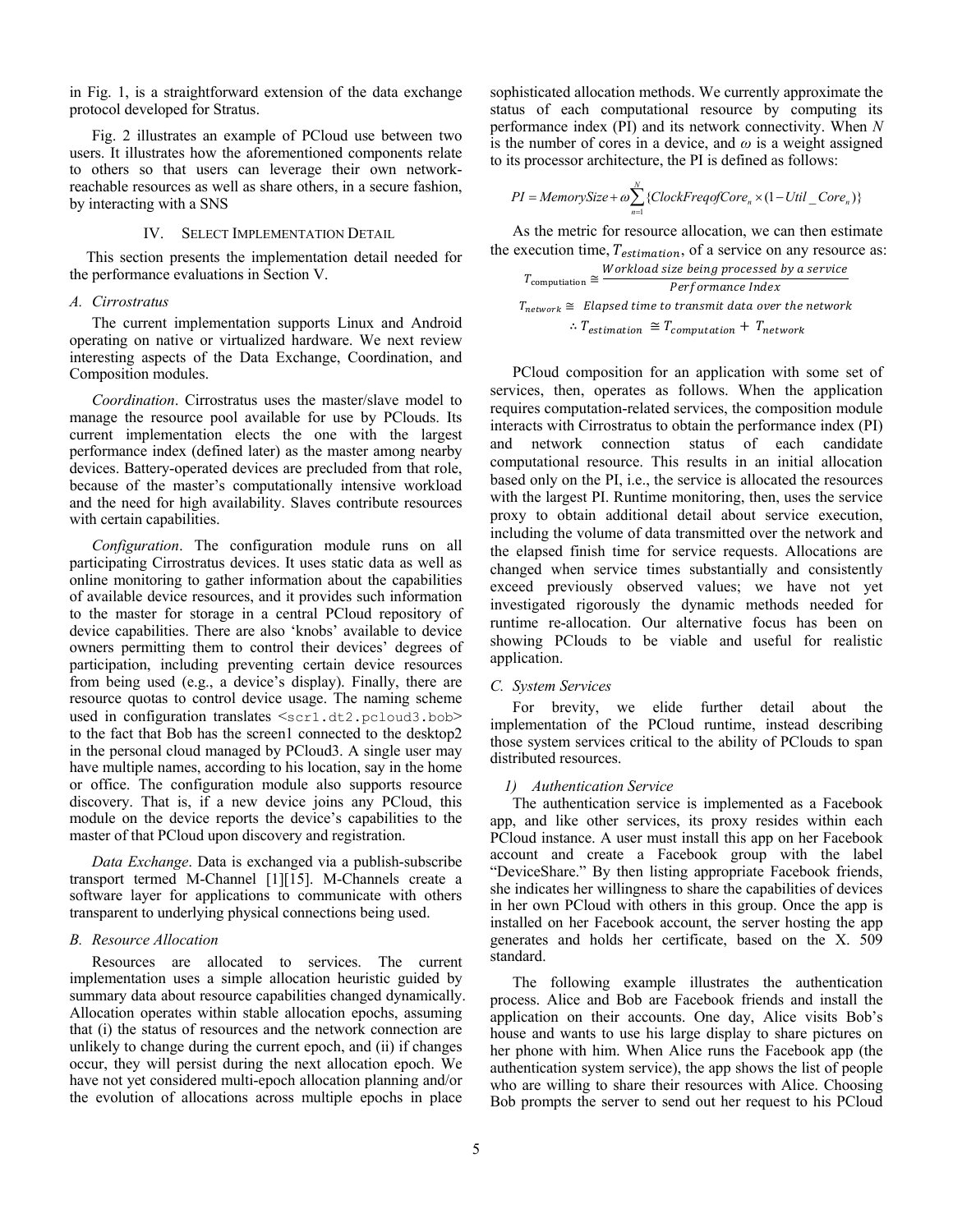in Fig. 1, is a straightforward extension of the data exchange protocol developed for Stratus.

Fig. 2 illustrates an example of PCloud use between two users. It illustrates how the aforementioned components relate to others so that users can leverage their own networkreachable resources as well as share others, in a secure fashion, by interacting with a SNS

## IV. SELECT IMPLEMENTATION DETAIL

This section presents the implementation detail needed for the performance evaluations in Section V.

## *A. Cirrostratus*

The current implementation supports Linux and Android operating on native or virtualized hardware. We next review interesting aspects of the Data Exchange, Coordination, and Composition modules.

*Coordination*. Cirrostratus uses the master/slave model to manage the resource pool available for use by PClouds. Its current implementation elects the one with the largest performance index (defined later) as the master among nearby devices. Battery-operated devices are precluded from that role, because of the master's computationally intensive workload and the need for high availability. Slaves contribute resources with certain capabilities.

*Configuration*. The configuration module runs on all participating Cirrostratus devices. It uses static data as well as online monitoring to gather information about the capabilities of available device resources, and it provides such information to the master for storage in a central PCloud repository of device capabilities. There are also 'knobs' available to device owners permitting them to control their devices' degrees of participation, including preventing certain device resources from being used (e.g., a device's display). Finally, there are resource quotas to control device usage. The naming scheme used in configuration translates <scr1.dt2.pcloud3.bob> to the fact that Bob has the screen1 connected to the desktop2 in the personal cloud managed by PCloud3. A single user may have multiple names, according to his location, say in the home or office. The configuration module also supports resource discovery. That is, if a new device joins any PCloud, this module on the device reports the device's capabilities to the master of that PCloud upon discovery and registration.

*Data Exchange*. Data is exchanged via a publish-subscribe transport termed M-Channel [1][15]. M-Channels create a software layer for applications to communicate with others transparent to underlying physical connections being used.

## *B. Resource Allocation*

Resources are allocated to services. The current implementation uses a simple allocation heuristic guided by summary data about resource capabilities changed dynamically. Allocation operates within stable allocation epochs, assuming that (i) the status of resources and the network connection are unlikely to change during the current epoch, and (ii) if changes occur, they will persist during the next allocation epoch. We have not yet considered multi-epoch allocation planning and/or the evolution of allocations across multiple epochs in place

sophisticated allocation methods. We currently approximate the status of each computational resource by computing its performance index (PI) and its network connectivity. When *N* is the number of cores in a device, and  $\omega$  is a weight assigned to its processor architecture, the PI is defined as follows:

$$
PI = MemorySize + \omega \sum_{n=1}^{N} \{ClockFreqofCore_n \times (1-Util\_Core_n) \}
$$

As the metric for resource allocation, we can then estimate the execution time,  $T_{estimation}$ , of a service on any resource as:

$$
T_{\text{computation}} \cong \frac{Workload size being processed by a service}{Performance Index}
$$
  

$$
T_{network} \cong Elapped time to transmit data over the network
$$
  

$$
\therefore T_{estimation} \cong T_{computation} + T_{network}
$$

PCloud composition for an application with some set of services, then, operates as follows. When the application requires computation-related services, the composition module interacts with Cirrostratus to obtain the performance index (PI) and network connection status of each candidate computational resource. This results in an initial allocation based only on the PI, i.e., the service is allocated the resources with the largest PI. Runtime monitoring, then, uses the service proxy to obtain additional detail about service execution, including the volume of data transmitted over the network and the elapsed finish time for service requests. Allocations are changed when service times substantially and consistently exceed previously observed values; we have not yet investigated rigorously the dynamic methods needed for runtime re-allocation. Our alternative focus has been on showing PClouds to be viable and useful for realistic application.

## *C. System Services*

For brevity, we elide further detail about the implementation of the PCloud runtime, instead describing those system services critical to the ability of PClouds to span distributed resources.

## *1) Authentication Service*

The authentication service is implemented as a Facebook app, and like other services, its proxy resides within each PCloud instance. A user must install this app on her Facebook account and create a Facebook group with the label "DeviceShare." By then listing appropriate Facebook friends, she indicates her willingness to share the capabilities of devices in her own PCloud with others in this group. Once the app is installed on her Facebook account, the server hosting the app generates and holds her certificate, based on the X. 509 standard.

The following example illustrates the authentication process. Alice and Bob are Facebook friends and install the application on their accounts. One day, Alice visits Bob's house and wants to use his large display to share pictures on her phone with him. When Alice runs the Facebook app (the authentication system service), the app shows the list of people who are willing to share their resources with Alice. Choosing Bob prompts the server to send out her request to his PCloud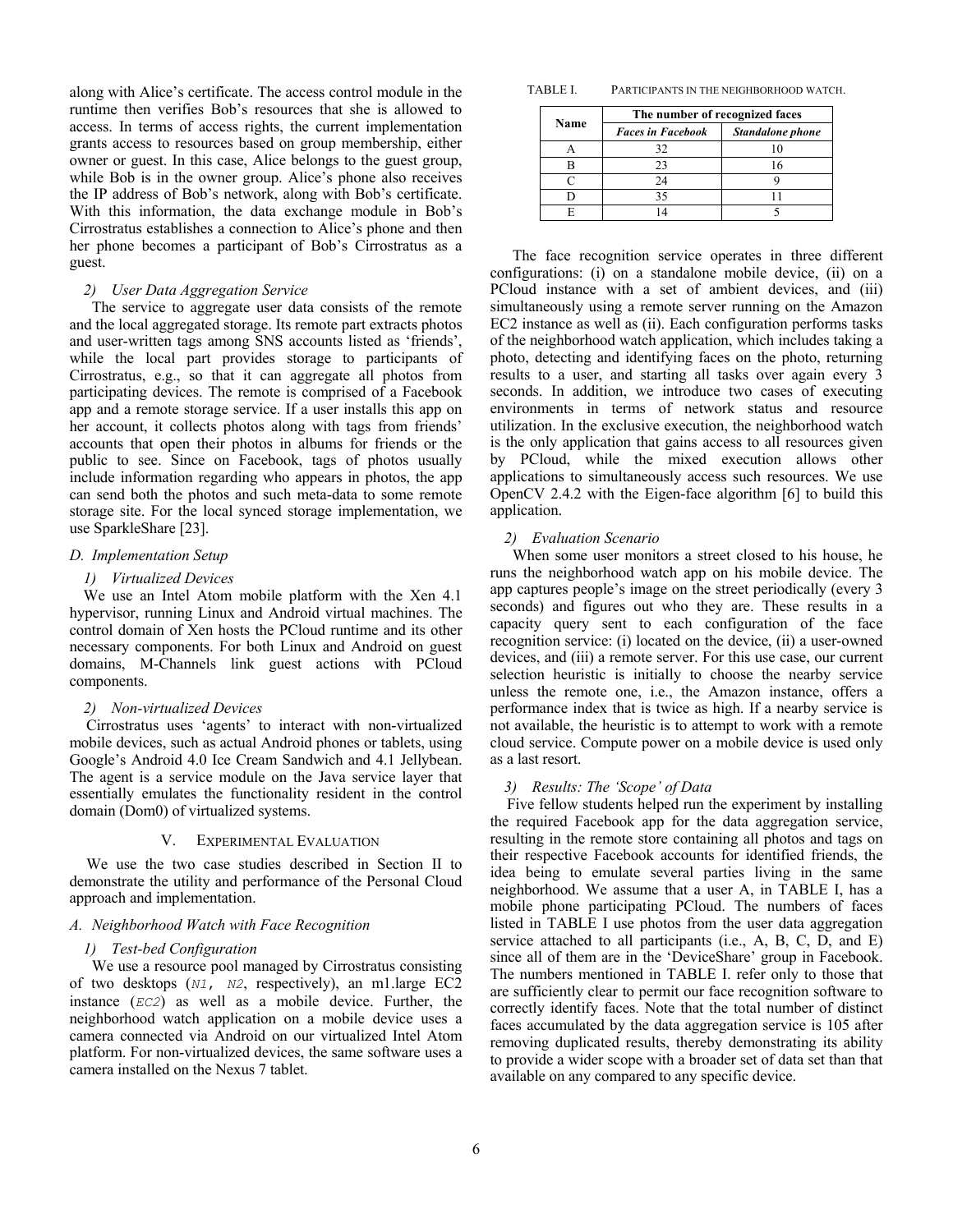along with Alice's certificate. The access control module in the runtime then verifies Bob's resources that she is allowed to access. In terms of access rights, the current implementation grants access to resources based on group membership, either owner or guest. In this case, Alice belongs to the guest group, while Bob is in the owner group. Alice's phone also receives the IP address of Bob's network, along with Bob's certificate. With this information, the data exchange module in Bob's Cirrostratus establishes a connection to Alice's phone and then her phone becomes a participant of Bob's Cirrostratus as a guest.

## *2) User Data Aggregation Service*

The service to aggregate user data consists of the remote and the local aggregated storage. Its remote part extracts photos and user-written tags among SNS accounts listed as 'friends', while the local part provides storage to participants of Cirrostratus, e.g., so that it can aggregate all photos from participating devices. The remote is comprised of a Facebook app and a remote storage service. If a user installs this app on her account, it collects photos along with tags from friends' accounts that open their photos in albums for friends or the public to see. Since on Facebook, tags of photos usually include information regarding who appears in photos, the app can send both the photos and such meta-data to some remote storage site. For the local synced storage implementation, we use SparkleShare [23].

## *D. Implementation Setup*

#### *1) Virtualized Devices*

We use an Intel Atom mobile platform with the Xen 4.1 hypervisor, running Linux and Android virtual machines. The control domain of Xen hosts the PCloud runtime and its other necessary components. For both Linux and Android on guest domains, M-Channels link guest actions with PCloud components.

## *2) Non-virtualized Devices*

Cirrostratus uses 'agents' to interact with non-virtualized mobile devices, such as actual Android phones or tablets, using Google's Android 4.0 Ice Cream Sandwich and 4.1 Jellybean. The agent is a service module on the Java service layer that essentially emulates the functionality resident in the control domain (Dom0) of virtualized systems.

#### V. EXPERIMENTAL EVALUATION

We use the two case studies described in Section II to demonstrate the utility and performance of the Personal Cloud approach and implementation.

## *A. Neighborhood Watch with Face Recognition*

## *1) Test-bed Configuration*

We use a resource pool managed by Cirrostratus consisting of two desktops (*N1*, *N2*, respectively), an m1.large EC2 instance (*EC2*) as well as a mobile device. Further, the neighborhood watch application on a mobile device uses a camera connected via Android on our virtualized Intel Atom platform. For non-virtualized devices, the same software uses a camera installed on the Nexus 7 tablet.

TABLE I. PARTICIPANTS IN THE NEIGHBORHOOD WATCH.

| Name | The number of recognized faces |                         |  |
|------|--------------------------------|-------------------------|--|
|      | <b>Faces in Facebook</b>       | <b>Standalone phone</b> |  |
|      | 32                             |                         |  |
|      | 23                             |                         |  |
|      | 24                             |                         |  |
|      | 35                             |                         |  |
|      |                                |                         |  |

The face recognition service operates in three different configurations: (i) on a standalone mobile device, (ii) on a PCloud instance with a set of ambient devices, and (iii) simultaneously using a remote server running on the Amazon EC2 instance as well as (ii). Each configuration performs tasks of the neighborhood watch application, which includes taking a photo, detecting and identifying faces on the photo, returning results to a user, and starting all tasks over again every 3 seconds. In addition, we introduce two cases of executing environments in terms of network status and resource utilization. In the exclusive execution, the neighborhood watch is the only application that gains access to all resources given by PCloud, while the mixed execution allows other applications to simultaneously access such resources. We use OpenCV 2.4.2 with the Eigen-face algorithm [6] to build this application.

## *2) Evaluation Scenario*

When some user monitors a street closed to his house, he runs the neighborhood watch app on his mobile device. The app captures people's image on the street periodically (every 3 seconds) and figures out who they are. These results in a capacity query sent to each configuration of the face recognition service: (i) located on the device, (ii) a user-owned devices, and (iii) a remote server. For this use case, our current selection heuristic is initially to choose the nearby service unless the remote one, i.e., the Amazon instance, offers a performance index that is twice as high. If a nearby service is not available, the heuristic is to attempt to work with a remote cloud service. Compute power on a mobile device is used only as a last resort.

## *3) Results: The 'Scope' of Data*

Five fellow students helped run the experiment by installing the required Facebook app for the data aggregation service, resulting in the remote store containing all photos and tags on their respective Facebook accounts for identified friends, the idea being to emulate several parties living in the same neighborhood. We assume that a user A, in TABLE I, has a mobile phone participating PCloud. The numbers of faces listed in TABLE I use photos from the user data aggregation service attached to all participants (i.e., A, B, C, D, and E) since all of them are in the 'DeviceShare' group in Facebook. The numbers mentioned in TABLE I. refer only to those that are sufficiently clear to permit our face recognition software to correctly identify faces. Note that the total number of distinct faces accumulated by the data aggregation service is 105 after removing duplicated results, thereby demonstrating its ability to provide a wider scope with a broader set of data set than that available on any compared to any specific device.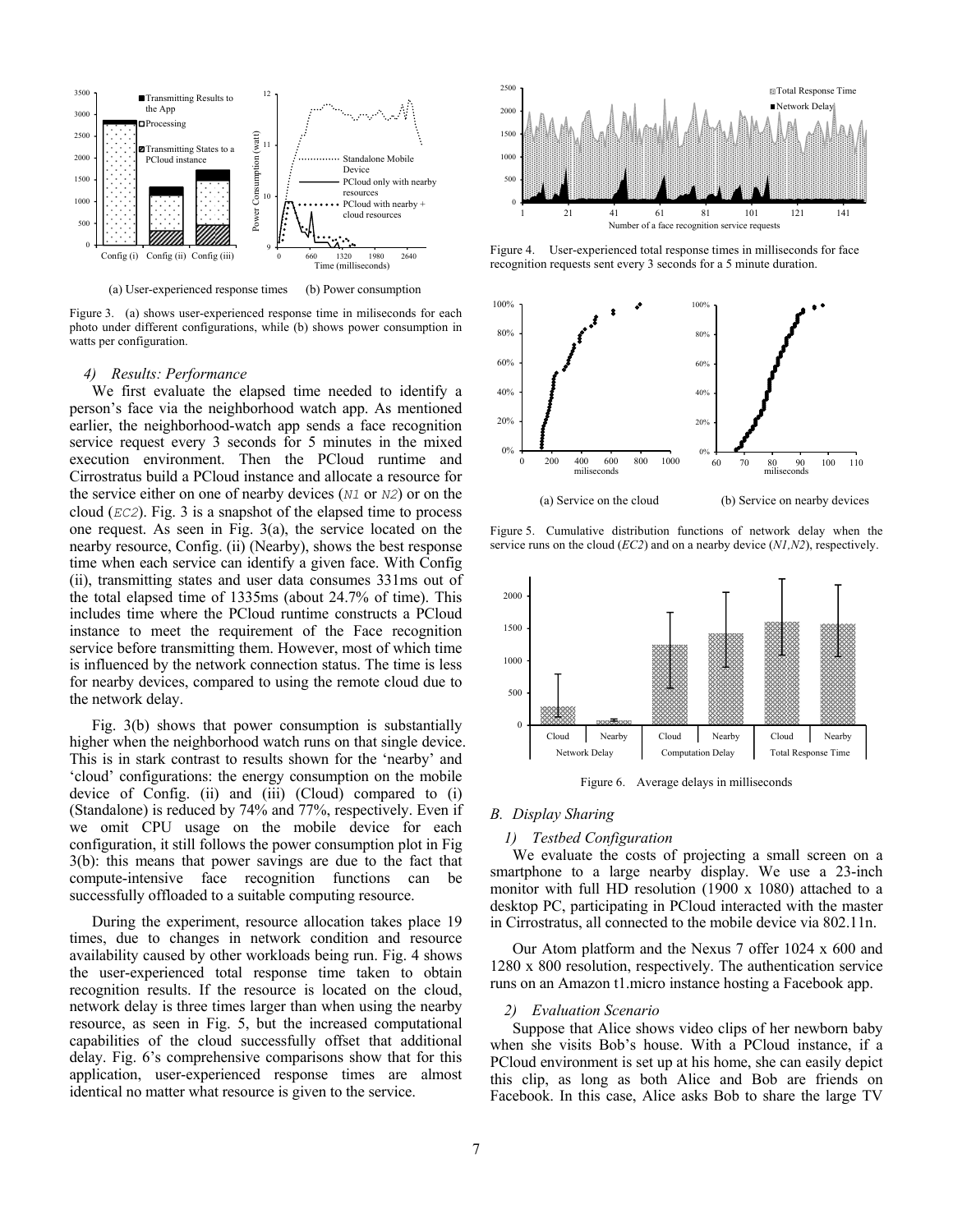



Figure 3. (a) shows user-experienced response time in miliseconds for each photo under different configurations, while (b) shows power consumption in watts per configuration.

## *4) Results: Performance*

We first evaluate the elapsed time needed to identify a person's face via the neighborhood watch app. As mentioned earlier, the neighborhood-watch app sends a face recognition service request every 3 seconds for 5 minutes in the mixed execution environment. Then the PCloud runtime and Cirrostratus build a PCloud instance and allocate a resource for the service either on one of nearby devices (*N1* or *N2*) or on the cloud (*EC2*). Fig. 3 is a snapshot of the elapsed time to process one request. As seen in Fig. 3(a), the service located on the nearby resource, Config. (ii) (Nearby), shows the best response time when each service can identify a given face. With Config (ii), transmitting states and user data consumes 331ms out of the total elapsed time of 1335ms (about 24.7% of time). This includes time where the PCloud runtime constructs a PCloud instance to meet the requirement of the Face recognition service before transmitting them. However, most of which time is influenced by the network connection status. The time is less for nearby devices, compared to using the remote cloud due to the network delay.

Fig. 3(b) shows that power consumption is substantially higher when the neighborhood watch runs on that single device. This is in stark contrast to results shown for the 'nearby' and 'cloud' configurations: the energy consumption on the mobile device of Config. (ii) and (iii) (Cloud) compared to (i) (Standalone) is reduced by 74% and 77%, respectively. Even if we omit CPU usage on the mobile device for each configuration, it still follows the power consumption plot in Fig 3(b): this means that power savings are due to the fact that compute-intensive face recognition functions can be successfully offloaded to a suitable computing resource.

During the experiment, resource allocation takes place 19 times, due to changes in network condition and resource availability caused by other workloads being run. Fig. 4 shows the user-experienced total response time taken to obtain recognition results. If the resource is located on the cloud, network delay is three times larger than when using the nearby resource, as seen in Fig. 5, but the increased computational capabilities of the cloud successfully offset that additional delay. Fig. 6's comprehensive comparisons show that for this application, user-experienced response times are almost identical no matter what resource is given to the service.



Figure 4. User-experienced total response times in milliseconds for face recognition requests sent every 3 seconds for a 5 minute duration.



Figure 5. Cumulative distribution functions of network delay when the service runs on the cloud (*EC2*) and on a nearby device (*N1,N2*), respectively.



Figure 6. Average delays in milliseconds

## *B. Display Sharing*

## *1) Testbed Configuration*

We evaluate the costs of projecting a small screen on a smartphone to a large nearby display. We use a 23-inch monitor with full HD resolution (1900 x 1080) attached to a desktop PC, participating in PCloud interacted with the master in Cirrostratus, all connected to the mobile device via 802.11n.

Our Atom platform and the Nexus 7 offer 1024 x 600 and 1280 x 800 resolution, respectively. The authentication service runs on an Amazon t1.micro instance hosting a Facebook app.

## *2) Evaluation Scenario*

Suppose that Alice shows video clips of her newborn baby when she visits Bob's house. With a PCloud instance, if a PCloud environment is set up at his home, she can easily depict this clip, as long as both Alice and Bob are friends on Facebook. In this case, Alice asks Bob to share the large TV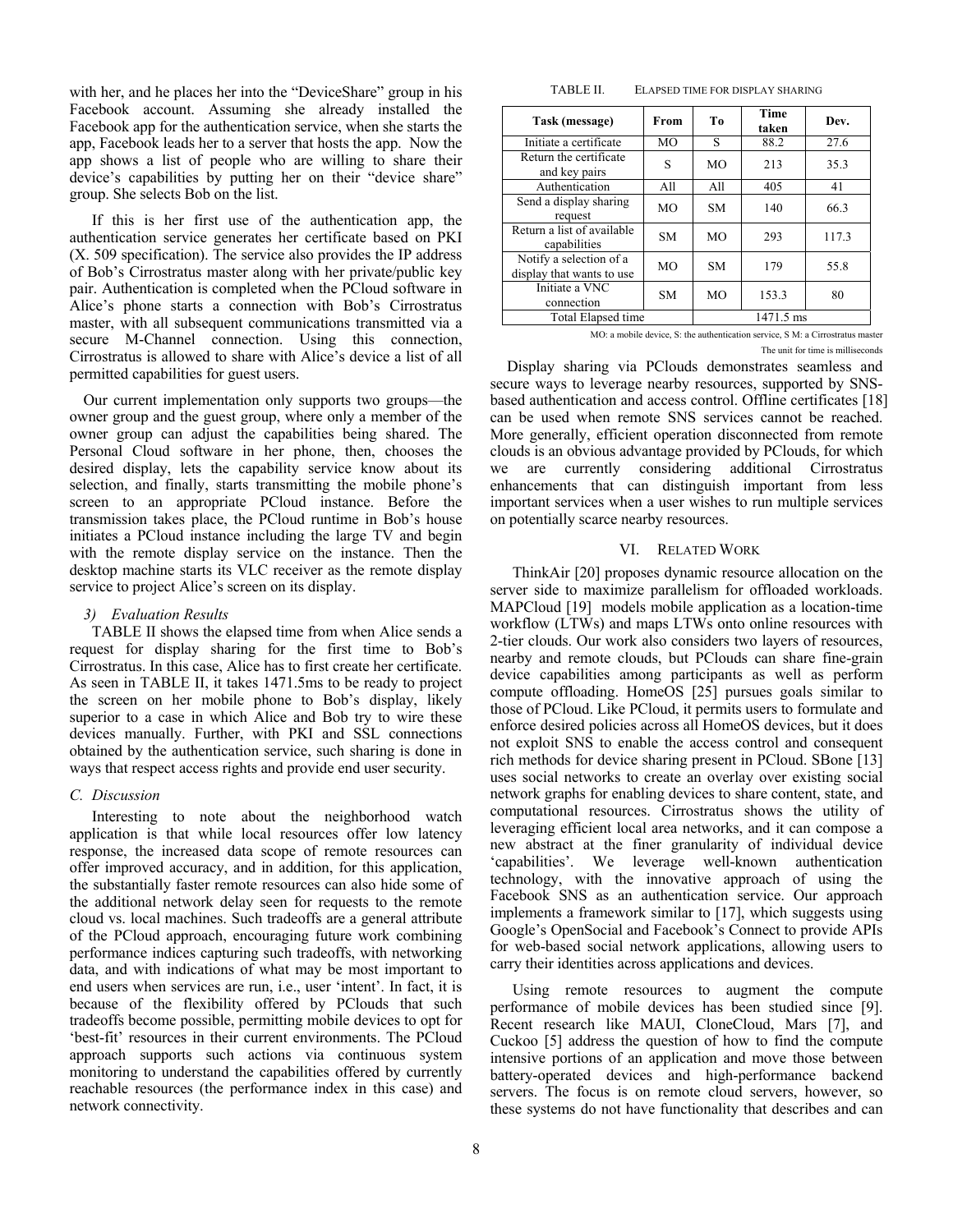with her, and he places her into the "DeviceShare" group in his Facebook account. Assuming she already installed the Facebook app for the authentication service, when she starts the app, Facebook leads her to a server that hosts the app. Now the app shows a list of people who are willing to share their device's capabilities by putting her on their "device share" group. She selects Bob on the list.

If this is her first use of the authentication app, the authentication service generates her certificate based on PKI (X. 509 specification). The service also provides the IP address of Bob's Cirrostratus master along with her private/public key pair. Authentication is completed when the PCloud software in Alice's phone starts a connection with Bob's Cirrostratus master, with all subsequent communications transmitted via a secure M-Channel connection. Using this connection, Cirrostratus is allowed to share with Alice's device a list of all permitted capabilities for guest users.

Our current implementation only supports two groups—the owner group and the guest group, where only a member of the owner group can adjust the capabilities being shared. The Personal Cloud software in her phone, then, chooses the desired display, lets the capability service know about its selection, and finally, starts transmitting the mobile phone's screen to an appropriate PCloud instance. Before the transmission takes place, the PCloud runtime in Bob's house initiates a PCloud instance including the large TV and begin with the remote display service on the instance. Then the desktop machine starts its VLC receiver as the remote display service to project Alice's screen on its display.

## *3) Evaluation Results*

TABLE II shows the elapsed time from when Alice sends a request for display sharing for the first time to Bob's Cirrostratus. In this case, Alice has to first create her certificate. As seen in TABLE II, it takes 1471.5ms to be ready to project the screen on her mobile phone to Bob's display, likely superior to a case in which Alice and Bob try to wire these devices manually. Further, with PKI and SSL connections obtained by the authentication service, such sharing is done in ways that respect access rights and provide end user security.

#### *C. Discussion*

Interesting to note about the neighborhood watch application is that while local resources offer low latency response, the increased data scope of remote resources can offer improved accuracy, and in addition, for this application, the substantially faster remote resources can also hide some of the additional network delay seen for requests to the remote cloud vs. local machines. Such tradeoffs are a general attribute of the PCloud approach, encouraging future work combining performance indices capturing such tradeoffs, with networking data, and with indications of what may be most important to end users when services are run, i.e., user 'intent'. In fact, it is because of the flexibility offered by PClouds that such tradeoffs become possible, permitting mobile devices to opt for 'best-fit' resources in their current environments. The PCloud approach supports such actions via continuous system monitoring to understand the capabilities offered by currently reachable resources (the performance index in this case) and network connectivity.

| Task (message)                                       | From           | To.       | <b>Time</b><br>taken | Dev.  |
|------------------------------------------------------|----------------|-----------|----------------------|-------|
| Initiate a certificate                               | M <sub>O</sub> | S         | 88.2                 | 27.6  |
| Return the certificate<br>and key pairs              | S              | <b>MO</b> | 213                  | 35.3  |
| Authentication                                       | All            | All       | 405                  | 41    |
| Send a display sharing<br>request                    | <b>MO</b>      | <b>SM</b> | 140                  | 66.3  |
| Return a list of available<br>capabilities           | <b>SM</b>      | <b>MO</b> | 293                  | 117.3 |
| Notify a selection of a<br>display that wants to use | <b>MO</b>      | <b>SM</b> | 179                  | 55.8  |
| Initiate a VNC<br>connection                         | <b>SM</b>      | <b>MO</b> | 153.3                | 80    |
| Total Elapsed time                                   | 1471.5 ms      |           |                      |       |

MO: a mobile device, S: the authentication service, S M: a Cirrostratus master

The unit for time is milliseconds

Display sharing via PClouds demonstrates seamless and secure ways to leverage nearby resources, supported by SNSbased authentication and access control. Offline certificates [18] can be used when remote SNS services cannot be reached. More generally, efficient operation disconnected from remote clouds is an obvious advantage provided by PClouds, for which we are currently considering additional Cirrostratus enhancements that can distinguish important from less important services when a user wishes to run multiple services on potentially scarce nearby resources.

## VI. RELATED WORK

ThinkAir [20] proposes dynamic resource allocation on the server side to maximize parallelism for offloaded workloads. MAPCloud [19] models mobile application as a location-time workflow (LTWs) and maps LTWs onto online resources with 2-tier clouds. Our work also considers two layers of resources, nearby and remote clouds, but PClouds can share fine-grain device capabilities among participants as well as perform compute offloading. HomeOS [25] pursues goals similar to those of PCloud. Like PCloud, it permits users to formulate and enforce desired policies across all HomeOS devices, but it does not exploit SNS to enable the access control and consequent rich methods for device sharing present in PCloud. SBone [13] uses social networks to create an overlay over existing social network graphs for enabling devices to share content, state, and computational resources. Cirrostratus shows the utility of leveraging efficient local area networks, and it can compose a new abstract at the finer granularity of individual device 'capabilities'. We leverage well-known authentication technology, with the innovative approach of using the Facebook SNS as an authentication service. Our approach implements a framework similar to [17], which suggests using Google's OpenSocial and Facebook's Connect to provide APIs for web-based social network applications, allowing users to carry their identities across applications and devices.

Using remote resources to augment the compute performance of mobile devices has been studied since [9]. Recent research like MAUI, CloneCloud, Mars [7], and Cuckoo [5] address the question of how to find the compute intensive portions of an application and move those between battery-operated devices and high-performance backend servers. The focus is on remote cloud servers, however, so these systems do not have functionality that describes and can